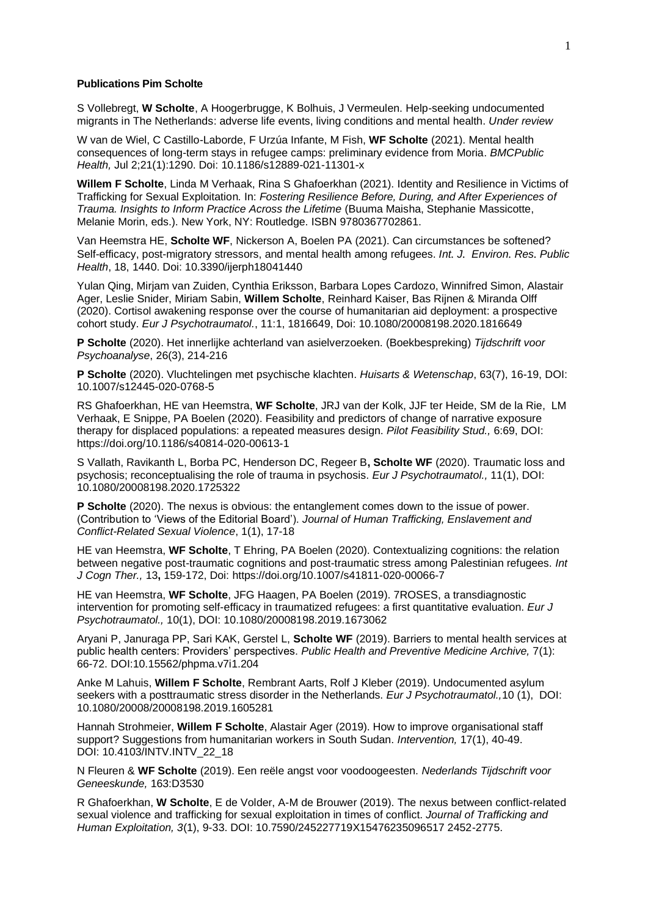## **Publications Pim Scholte**

S Vollebregt, **W Scholte**, A Hoogerbrugge, K Bolhuis, J Vermeulen. Help-seeking undocumented migrants in The Netherlands: adverse life events, living conditions and mental health. *Under review*

W van de Wiel, C Castillo-Laborde, F Urzúa Infante, M Fish, **WF Scholte** (2021). Mental health consequences of long-term stays in refugee camps: preliminary evidence from Moria. *BMCPublic Health,* Jul 2;21(1):1290. Doi: 10.1186/s12889-021-11301-x

**Willem F Scholte**, Linda M Verhaak, Rina S Ghafoerkhan (2021). Identity and Resilience in Victims of Trafficking for Sexual Exploitation*.* In: *Fostering Resilience Before, During, and After Experiences of Trauma. Insights to Inform Practice Across the Lifetime* (Buuma Maisha, Stephanie Massicotte, Melanie Morin, eds.). New York, NY: Routledge. ISBN 9780367702861.

Van Heemstra HE, **Scholte WF**, Nickerson A, Boelen PA (2021). Can circumstances be softened? Self-efficacy, post-migratory stressors, and mental health among refugees. *Int. J. Environ. Res. Public Health*, 18, 1440. Doi: 10.3390/ijerph18041440

Yulan Qing, Mirjam van Zuiden, Cynthia Eriksson, Barbara Lopes Cardozo, Winnifred Simon, Alastair Ager, Leslie Snider, Miriam Sabin, **Willem Scholte**, Reinhard Kaiser, Bas Rijnen & Miranda Olff (2020). Cortisol awakening response over the course of humanitarian aid deployment: a prospective cohort study. *Eur J Psychotraumatol.*, 11:1, 1816649, Doi: 10.1080/20008198.2020.1816649

**P Scholte** (2020). Het innerlijke achterland van asielverzoeken. (Boekbespreking) *Tijdschrift voor Psychoanalyse*, 26(3), 214-216

**P Scholte** (2020). Vluchtelingen met psychische klachten. *Huisarts & Wetenschap*, 63(7), 16-19, DOI: 10.1007/s12445-020-0768-5

RS Ghafoerkhan, HE van Heemstra, **WF Scholte**, JRJ van der Kolk, JJF ter Heide, SM de la Rie, LM Verhaak, E Snippe, PA Boelen (2020). Feasibility and predictors of change of narrative exposure therapy for displaced populations: a repeated measures design. *Pilot Feasibility Stud.,* 6:69, DOI: https://doi.org/10.1186/s40814-020-00613-1

S Vallath, Ravikanth L, Borba PC, Henderson DC, Regeer B**, Scholte WF** (2020). Traumatic loss and psychosis; reconceptualising the role of trauma in psychosis. *Eur J Psychotraumatol.,* 11(1), DOI: 10.1080/20008198.2020.1725322

**P Scholte** (2020). The nexus is obvious: the entanglement comes down to the issue of power. (Contribution to 'Views of the Editorial Board'). *Journal of Human Trafficking, Enslavement and Conflict-Related Sexual Violence*, 1(1), 17-18

HE van Heemstra, **WF Scholte**, T Ehring, PA Boelen (2020). Contextualizing cognitions: the relation between negative post-traumatic cognitions and post-traumatic stress among Palestinian refugees. *Int J Cogn Ther.,* 13**,** 159-172, Doi: https://doi.org/10.1007/s41811-020-00066-7

HE van Heemstra, **WF Scholte**, JFG Haagen, PA Boelen (2019). 7ROSES, a transdiagnostic intervention for promoting self-efficacy in traumatized refugees: a first quantitative evaluation. *Eur J Psychotraumatol.,* 10(1), DOI: [10.1080/20008198.2019.1673062](https://doi.org/10.1080/20008198.2019.1673062)

Aryani P, Januraga PP, Sari KAK, Gerstel L, **Scholte WF** (2019). Barriers to mental health services at public health centers: Providers' perspectives. *Public Health and Preventive Medicine Archive,* 7(1): 66-72. DOI:10.15562/phpma.v7i1.204

Anke M Lahuis, **Willem F Scholte**, Rembrant Aarts, Rolf J Kleber (2019). Undocumented asylum seekers with a posttraumatic stress disorder in the Netherlands. *Eur J Psychotraumatol.,*10 (1), [DOI:](https://www.equatorfoundation.nl/sites/default/files/domain-24/Undocumented%20asylum%20seekers%20with%20posttraumatic%20stress%20disorder%20in%20the%20Netherlands.pdf)  [10.1080/20008/20008198.2019.1605281](https://www.equatorfoundation.nl/sites/default/files/domain-24/Undocumented%20asylum%20seekers%20with%20posttraumatic%20stress%20disorder%20in%20the%20Netherlands.pdf)

Hannah Strohmeier, **Willem F Scholte**, Alastair Ager (2019). How to improve organisational staff support? Suggestions from humanitarian workers in South Sudan. *Intervention,* 17(1), 40-49. DOI: 10.4103/INTV.INTV\_22\_18

N Fleuren & **WF Scholte** (2019). Een reële angst voor voodoogeesten. *Nederlands Tijdschrift voor Geneeskunde,* 163:D3530

R Ghafoerkhan, **W Scholte**, E de Volder, A-M de Brouwer (2019). The nexus between conflict-related sexual violence and trafficking for sexual exploitation in times of conflict. *Journal of Trafficking and Human Exploitation, 3*(1), 9-33. DOI: 10.7590/245227719X15476235096517 2452-2775.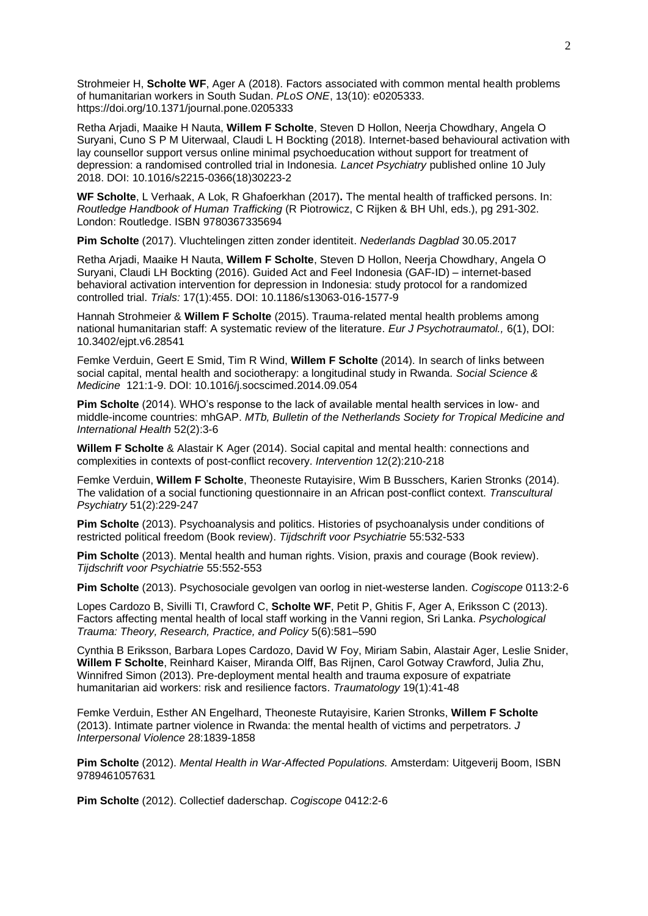Strohmeier H, **Scholte WF**, Ager A (2018). Factors associated with common mental health problems of humanitarian workers in South Sudan. *PLoS ONE*, 13(10): e0205333. https://doi.org/10.1371/journal.pone.0205333

Retha Arjadi, Maaike H Nauta, **Willem F Scholte**, Steven D Hollon, Neerja Chowdhary, Angela O Suryani, Cuno S P M Uiterwaal, Claudi L H Bockting (2018). Internet-based behavioural activation with lay counsellor support versus online minimal psychoeducation without support for treatment of depression: a randomised controlled trial in Indonesia. *Lancet Psychiatry* published online 10 July 2018. DOI: 10.1016/s2215-0366(18)30223-2

**WF Scholte**, L Verhaak, A Lok, R Ghafoerkhan (2017)**.** The mental health of trafficked persons. In: *Routledge Handbook of Human Trafficking* (R Piotrowicz, C Rijken & BH Uhl, eds.), pg 291-302. London: Routledge. ISBN 9780367335694

**Pim Scholte** (2017). Vluchtelingen zitten zonder identiteit. *Nederlands Dagblad* 30.05.2017

Retha Arjadi, Maaike H Nauta, **Willem F Scholte**, Steven D Hollon, Neerja Chowdhary, Angela O Suryani, Claudi LH Bockting (2016). Guided Act and Feel Indonesia (GAF-ID) – internet-based behavioral activation intervention for depression in Indonesia: study protocol for a randomized controlled trial. *Trials:* 17(1):455. DOI: 10.1186/s13063-016-1577-9

Hannah Strohmeier & **Willem F Scholte** (2015). Trauma-related mental health problems among national humanitarian staff: A systematic review of the literature. *Eur J Psychotraumatol.,* 6(1), DOI: 10.3402/ejpt.v6.28541

Femke Verduin, Geert E Smid, Tim R Wind, **Willem F Scholte** (2014). In search of links between social capital, mental health and sociotherapy: a longitudinal study in Rwanda. *Social Science & Medicine* 121:1-9. DOI: 10.1016/j.socscimed.2014.09.054

**Pim Scholte** (2014). WHO's response to the lack of available mental health services in low- and middle-income countries: mhGAP. *MTb, Bulletin of the Netherlands Society for Tropical Medicine and International Health* 52(2):3-6

**Willem F Scholte** & Alastair K Ager (2014). Social capital and mental health: connections and complexities in contexts of post-conflict recovery. *Intervention* 12(2):210-218

Femke Verduin, **Willem F Scholte**, Theoneste Rutayisire, Wim B Busschers, Karien Stronks (2014). The validation of a social functioning questionnaire in an African post-conflict context. *Transcultural Psychiatry* 51(2):229-247

**Pim Scholte** (2013). Psychoanalysis and politics. Histories of psychoanalysis under conditions of restricted political freedom (Book review). *Tijdschrift voor Psychiatrie* 55:532-533

**Pim Scholte** (2013). Mental health and human rights. Vision, praxis and courage (Book review). *Tijdschrift voor Psychiatrie* 55:552-553

**Pim Scholte** (2013). Psychosociale gevolgen van oorlog in niet-westerse landen. *Cogiscope* 0113:2-6

Lopes Cardozo B, Sivilli TI, Crawford C, **Scholte WF**, Petit P, Ghitis F, Ager A, Eriksson C (2013). Factors affecting mental health of local staff working in the Vanni region, Sri Lanka. *Psychological Trauma: Theory, Research, Practice, and Policy* 5(6):581–590

Cynthia B Eriksson, Barbara Lopes Cardozo, David W Foy, Miriam Sabin, Alastair Ager, Leslie Snider, **Willem F Scholte**, Reinhard Kaiser, Miranda Olff, Bas Rijnen, Carol Gotway Crawford, Julia Zhu, Winnifred Simon (2013). Pre-deployment mental health and trauma exposure of expatriate humanitarian aid workers: risk and resilience factors. *Traumatology* 19(1):41-48

Femke Verduin, Esther AN Engelhard, Theoneste Rutayisire, Karien Stronks, **Willem F Scholte** (2013). Intimate partner violence in Rwanda: the mental health of victims and perpetrators. *J Interpersonal Violence* 28:1839-1858

**Pim Scholte** (2012). *Mental Health in War-Affected Populations.* Amsterdam: Uitgeverij Boom, ISBN 9789461057631

**Pim Scholte** (2012). Collectief daderschap. *Cogiscope* 0412:2-6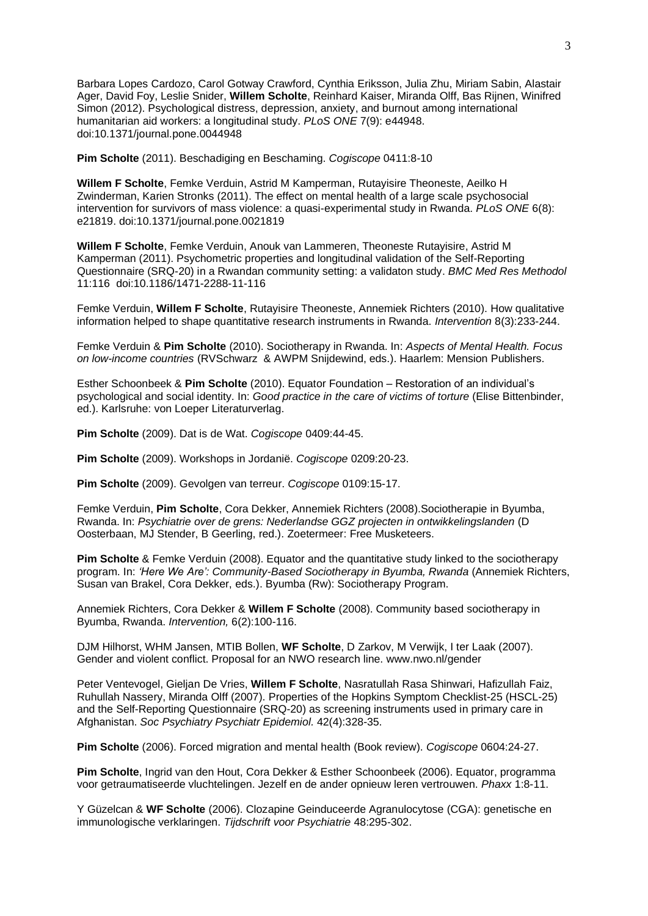Barbara Lopes Cardozo, Carol Gotway Crawford, Cynthia Eriksson, Julia Zhu, Miriam Sabin, Alastair Ager, David Foy, Leslie Snider, **Willem Scholte**, Reinhard Kaiser, Miranda Olff, Bas Rijnen, Winifred Simon (2012). Psychological distress, depression, anxiety, and burnout among international humanitarian aid workers: a longitudinal study. *PLoS ONE* 7(9): e44948. doi:10.1371/journal.pone.0044948

**Pim Scholte** (2011). Beschadiging en Beschaming. *Cogiscope* 0411:8-10

**Willem F Scholte**, Femke Verduin, Astrid M Kamperman, Rutayisire Theoneste, Aeilko H Zwinderman, Karien Stronks (2011). The effect on mental health of a large scale psychosocial intervention for survivors of mass violence: a quasi-experimental study in Rwanda. *PLoS ONE* 6(8): e21819. doi:10.1371/journal.pone.0021819

**Willem F Scholte**, Femke Verduin, Anouk van Lammeren, Theoneste Rutayisire, Astrid M Kamperman (2011). Psychometric properties and longitudinal validation of the Self-Reporting Questionnaire (SRQ-20) in a Rwandan community setting: a validaton study. *BMC Med Res Methodol*  11:116 doi:10.1186/1471-2288-11-116

Femke Verduin, **Willem F Scholte**, Rutayisire Theoneste, Annemiek Richters (2010). How qualitative information helped to shape quantitative research instruments in Rwanda. *Intervention* 8(3):233-244.

Femke Verduin & **Pim Scholte** (2010). Sociotherapy in Rwanda. In: *Aspects of Mental Health. Focus on low-income countries* (RVSchwarz & AWPM Snijdewind, eds.). Haarlem: Mension Publishers.

Esther Schoonbeek & **Pim Scholte** (2010). Equator Foundation – Restoration of an individual's psychological and social identity. In: *Good practice in the care of victims of torture* (Elise Bittenbinder, ed.). Karlsruhe: von Loeper Literaturverlag.

**Pim Scholte** (2009). Dat is de Wat. *Cogiscope* 0409:44-45.

**Pim Scholte** (2009). Workshops in Jordanië. *Cogiscope* 0209:20-23.

**Pim Scholte** (2009). Gevolgen van terreur. *Cogiscope* 0109:15-17.

Femke Verduin, **Pim Scholte**, Cora Dekker, Annemiek Richters (2008).Sociotherapie in Byumba, Rwanda. In: *Psychiatrie over de grens: Nederlandse GGZ projecten in ontwikkelingslanden* (D Oosterbaan, MJ Stender, B Geerling, red.). Zoetermeer: Free Musketeers.

**Pim Scholte** & Femke Verduin (2008). Equator and the quantitative study linked to the sociotherapy program. In: *'Here We Are': Community-Based Sociotherapy in Byumba, Rwanda* (Annemiek Richters, Susan van Brakel, Cora Dekker, eds.). Byumba (Rw): Sociotherapy Program.

Annemiek Richters, Cora Dekker & **Willem F Scholte** (2008). Community based sociotherapy in Byumba, Rwanda. *Intervention,* 6(2):100-116.

DJM Hilhorst, WHM Jansen, MTIB Bollen, **WF Scholte**, D Zarkov, M Verwijk, I ter Laak (2007). Gender and violent conflict. Proposal for an NWO research line. [www.nwo.nl/gender](http://www.nwo.nl/gender)

Peter Ventevogel, Gieljan De Vries, **Willem F Scholte**, Nasratullah Rasa Shinwari, Hafizullah Faiz, Ruhullah Nassery, Miranda Olff (2007). Properties of the Hopkins Symptom Checklist-25 (HSCL-25) and the Self-Reporting Questionnaire (SRQ-20) as screening instruments used in primary care in Afghanistan. *Soc Psychiatry Psychiatr Epidemiol.* 42(4):328-35.

**Pim Scholte** (2006). Forced migration and mental health (Book review). *Cogiscope* 0604:24-27.

**Pim Scholte**, Ingrid van den Hout, Cora Dekker & Esther Schoonbeek (2006). Equator, programma voor getraumatiseerde vluchtelingen. Jezelf en de ander opnieuw leren vertrouwen. *Phaxx* 1:8-11.

Y Güzelcan & **WF Scholte** (2006). Clozapine Geinduceerde Agranulocytose (CGA): genetische en immunologische verklaringen. *Tijdschrift voor Psychiatrie* 48:295-302.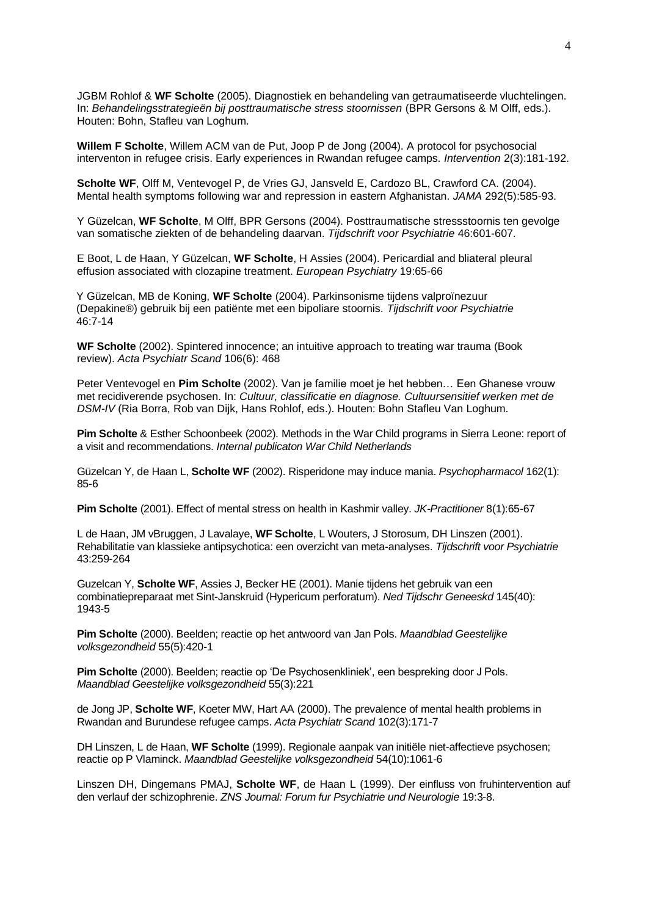JGBM Rohlof & **WF Scholte** (2005). Diagnostiek en behandeling van getraumatiseerde vluchtelingen. In: *Behandelingsstrategieën bij posttraumatische stress stoornissen* (BPR Gersons & M Olff, eds.). Houten: Bohn, Stafleu van Loghum.

**Willem F Scholte**, Willem ACM van de Put, Joop P de Jong (2004). A protocol for psychosocial interventon in refugee crisis. Early experiences in Rwandan refugee camps. *Intervention* 2(3):181-192.

**Scholte WF**, Olff M, Ventevogel P, de Vries GJ, Jansveld E, Cardozo BL, Crawford CA. (2004). Mental health symptoms following war and repression in eastern Afghanistan. *JAMA* 292(5):585-93.

Y Güzelcan, **WF Scholte**, M Olff, BPR Gersons (2004). Posttraumatische stressstoornis ten gevolge van somatische ziekten of de behandeling daarvan. *Tijdschrift voor Psychiatrie* 46:601-607.

E Boot, L de Haan, Y Güzelcan, **WF Scholte**, H Assies (2004). Pericardial and bliateral pleural effusion associated with clozapine treatment. *European Psychiatry* 19:65-66

Y Güzelcan, MB de Koning, **WF Scholte** (2004). Parkinsonisme tijdens valproïnezuur (Depakine®) gebruik bij een patiënte met een bipoliare stoornis. *Tijdschrift voor Psychiatrie*  46:7-14

**WF Scholte** (2002). Spintered innocence; an intuitive approach to treating war trauma (Book review). *Acta Psychiatr Scand* 106(6): 468

Peter Ventevogel en **Pim Scholte** (2002). Van je familie moet je het hebben… Een Ghanese vrouw met recidiverende psychosen. In: *Cultuur, classificatie en diagnose. Cultuursensitief werken met de DSM-IV* (Ria Borra, Rob van Dijk, Hans Rohlof, eds.). Houten: Bohn Stafleu Van Loghum.

**Pim Scholte** & Esther Schoonbeek (2002). Methods in the War Child programs in Sierra Leone: report of a visit and recommendations. *Internal publicaton War Child Netherlands*

Güzelcan Y, de Haan L, **Scholte WF** (2002). Risperidone may induce mania. *Psychopharmacol* 162(1): 85-6

**Pim Scholte** (2001). Effect of mental stress on health in Kashmir valley. *JK-Practitioner* 8(1):65-67

L de Haan, JM vBruggen, J Lavalaye, **WF Scholte**, L Wouters, J Storosum, DH Linszen (2001). Rehabilitatie van klassieke antipsychotica: een overzicht van meta-analyses. *Tijdschrift voor Psychiatrie*  43:259-264

Guzelcan Y, **Scholte WF**, Assies J, Becker HE (2001). [Manie tijdens het gebruik van een](http://www.ntvg.nl/db_artikel.asp?ID=2001119430001A&NR=3&OFF=3&fr=rs)  [combinatiepreparaat met Sint-Janskruid \(Hypericum perforatum\).](http://www.ntvg.nl/db_artikel.asp?ID=2001119430001A&NR=3&OFF=3&fr=rs) *Ned Tijdschr Geneeskd* 145(40): 1943-5

**Pim Scholte** (2000). Beelden; reactie op het antwoord van Jan Pols. *Maandblad Geestelijke volksgezondheid* 55(5):420-1

**Pim Scholte** (2000). Beelden; reactie op 'De Psychosenkliniek', een bespreking door J Pols. *Maandblad Geestelijke volksgezondheid* 55(3):221

de Jong JP, **Scholte WF**, Koeter MW, Hart AA (2000). The prevalence of mental health problems in Rwandan and Burundese refugee camps. *Acta Psychiatr Scand* 102(3):171-7

DH Linszen, L de Haan, **WF Scholte** (1999). Regionale aanpak van initiële niet-affectieve psychosen; reactie op P Vlaminck. *Maandblad Geestelijke volksgezondheid* 54(10):1061-6

Linszen DH, Dingemans PMAJ, **Scholte WF**, de Haan L (1999). Der einfluss von fruhintervention auf den verlauf der schizophrenie. *ZNS Journal: Forum fur Psychiatrie und Neurologie* 19:3-8.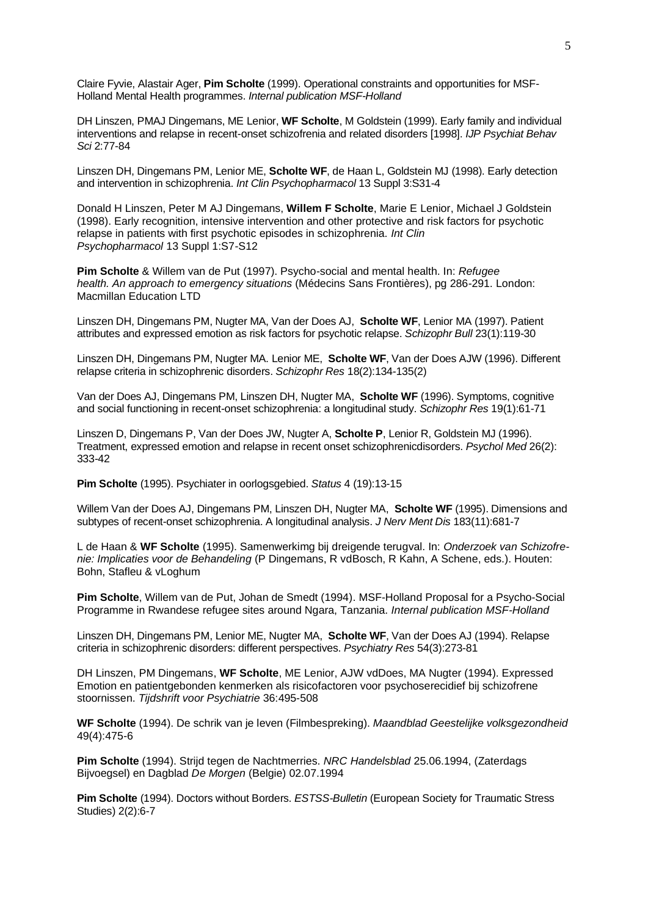Claire Fyvie, Alastair Ager, **Pim Scholte** (1999). Operational constraints and opportunities for MSF-Holland Mental Health programmes. *Internal publication MSF-Holland*

[DH Linszen,](http://dare.uva.nl/cgi/b/bib/bib-idx?sid=1c33c800b847cbe8617e99cddf8c4da8;c=uvadare;lang=nl;debug=;type=simple;rgn1=author;pagelink=author;q1=linszen%2C%20d.h.) [PMAJ Dingemans,](http://dare.uva.nl/cgi/b/bib/bib-idx?sid=1c33c800b847cbe8617e99cddf8c4da8;c=uvadare;lang=nl;debug=;type=simple;rgn1=author;pagelink=author;q1=dingemans%2C%20p.m.a.j.) [ME Lenior,](http://dare.uva.nl/cgi/b/bib/bib-idx?sid=1c33c800b847cbe8617e99cddf8c4da8;c=uvadare;lang=nl;debug=;type=simple;rgn1=author;pagelink=author;q1=lenior%2C%20m.e.) **[WF Scholte](http://dare.uva.nl/cgi/b/bib/bib-idx?sid=1c33c800b847cbe8617e99cddf8c4da8;c=uvadare;lang=nl;debug=;type=simple;rgn1=author;pagelink=author;q1=scholte%2C%20w.f.)**, [M Goldstein](http://dare.uva.nl/cgi/b/bib/bib-idx?sid=1c33c800b847cbe8617e99cddf8c4da8;c=uvadare;lang=nl;debug=;type=simple;rgn1=author;pagelink=author;q1=goldstein%2C%20m.) (1999). Early family and individual interventions and relapse in recent-onset schizofrenia and related disorders [1998]. *IJP Psychiat Behav Sci* 2:77-84

Linszen DH, Dingemans PM, Lenior ME, **Scholte WF**, de Haan L, Goldstein MJ (1998). Early detection and intervention in schizophrenia. *Int Clin Psychopharmacol* 13 Suppl 3:S31-4

Donald H Linszen, Peter M AJ Dingemans, **Willem F Scholte**, Marie E Lenior, Michael J Goldstein (1998). Early recognition, intensive intervention and other protective and risk factors for psychotic relapse in patients with first psychotic episodes in schizophrenia. *Int Clin Psychopharmacol* 13 Suppl 1:S7-S12

**Pim Scholte** & Willem van de Put (1997). Psycho-social and mental health. In: *Refugee health. An approach to emergency situations* (Médecins Sans Frontières), pg 286-291. London: Macmillan Education LTD

Linszen DH, Dingemans PM, Nugter MA, Van der Does AJ, **Scholte WF**, Lenior MA (1997). Patient attributes and expressed emotion as risk factors for psychotic relapse. *Schizophr Bull* 23(1):119-30

Linszen DH, Dingemans PM, Nugter MA. Lenior ME, **Scholte WF**, Van der Does AJW (1996). Different relapse criteria in schizophrenic disorders. *Schizophr Res* 18(2):134-135(2)

Van der Does AJ, Dingemans PM, Linszen DH, Nugter MA, **Scholte WF** (1996). Symptoms, cognitive and social functioning in recent-onset schizophrenia: a longitudinal study. *Schizophr Res* 19(1):61-71

Linszen D, Dingemans P, Van der Does JW, Nugter A, **Scholte P**, Lenior R, Goldstein MJ (1996). Treatment, expressed emotion and relapse in recent onset schizophrenicdisorders. *Psychol Med* 26(2): 333-42

**Pim Scholte** (1995). Psychiater in oorlogsgebied. *Status* 4 (19):13-15

Willem Van der Does AJ, Dingemans PM, Linszen DH, Nugter MA, **Scholte WF** (1995). Dimensions and subtypes of recent-onset schizophrenia. A longitudinal analysis. *J Nerv Ment Dis* 183(11):681-7

L de Haan & **WF Scholte** (1995). Samenwerkimg bij dreigende terugval. In: *Onderzoek van Schizofrenie: Implicaties voor de Behandeling* (P Dingemans, R vdBosch, R Kahn, A Schene, eds.). Houten: Bohn, Stafleu & vLoghum

**Pim Scholte**, Willem van de Put, Johan de Smedt (1994). MSF-Holland Proposal for a Psycho-Social Programme in Rwandese refugee sites around Ngara, Tanzania. *Internal publication MSF-Holland*

Linszen DH, Dingemans PM, Lenior ME, Nugter MA, **Scholte WF**, Van der Does AJ (1994). Relapse criteria in schizophrenic disorders: different perspectives. *Psychiatry Res* 54(3):273-81

DH Linszen, PM Dingemans, **WF Scholte**, ME Lenior, AJW vdDoes, MA Nugter (1994). Expressed Emotion en patientgebonden kenmerken als risicofactoren voor psychoserecidief bij schizofrene stoornissen. *Tijdshrift voor Psychiatrie* 36:495-508

**WF Scholte** (1994). De schrik van je leven (Filmbespreking). *Maandblad Geestelijke volksgezondheid*  49(4):475-6

**Pim Scholte** (1994). Strijd tegen de Nachtmerries. *NRC Handelsblad* 25.06.1994, (Zaterdags Bijvoegsel) en Dagblad *De Morgen* (Belgie) 02.07.1994

**Pim Scholte** (1994). Doctors without Borders. *ESTSS-Bulletin* (European Society for Traumatic Stress Studies) 2(2):6-7